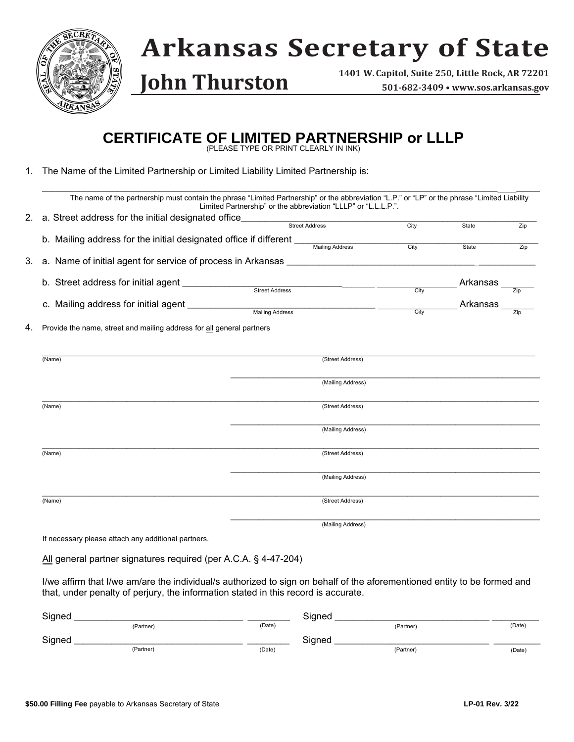

## **Arkansas Secretary of State**

**John Thurston**

**1401 W. Capitol, Suite 250, Little Rock, AR 72201 501-682-3409 • www.sos.arkansas.gov**

## **CERTIFICATE OF LIMITED PARTNERSHIP or LLLP** (PLEASE TYPE OR PRINT CLEARLY IN INK)

1. The Name of the Limited Partnership or Limited Liability Limited Partnership is:

|        | The name of the partnership must contain the phrase "Limited Partnership" or the abbreviation "L.P." or "LP" or the phrase "Limited Liability<br>Limited Partnership" or the abbreviation "LLLP" or "L.L.L.P.". |                   |      |          |                   |
|--------|-----------------------------------------------------------------------------------------------------------------------------------------------------------------------------------------------------------------|-------------------|------|----------|-------------------|
|        | 2. a. Street address for the initial designated office____________                                                                                                                                              |                   |      |          |                   |
|        |                                                                                                                                                                                                                 | Street Address    | City | State    | Zip               |
|        |                                                                                                                                                                                                                 |                   |      |          |                   |
|        |                                                                                                                                                                                                                 |                   | City | State    | Zip               |
|        |                                                                                                                                                                                                                 |                   |      |          |                   |
|        | b. Street address for initial agent ________________                                                                                                                                                            |                   |      | Arkansas |                   |
|        | Street Address                                                                                                                                                                                                  |                   |      |          | $\overline{Z}$ ip |
|        | c. Mailing address for initial agent ______________                                                                                                                                                             |                   |      | Arkansas |                   |
|        | <b>Mailing Address</b>                                                                                                                                                                                          |                   | City |          | Zip               |
|        |                                                                                                                                                                                                                 | (Mailing Address) |      |          |                   |
| (Name) |                                                                                                                                                                                                                 | (Street Address)  |      |          |                   |
|        |                                                                                                                                                                                                                 |                   |      |          |                   |
|        |                                                                                                                                                                                                                 | (Mailing Address) |      |          |                   |
| (Name) |                                                                                                                                                                                                                 | (Street Address)  |      |          |                   |
|        |                                                                                                                                                                                                                 | (Mailing Address) |      |          |                   |
| (Name) |                                                                                                                                                                                                                 | (Street Address)  |      |          |                   |
|        |                                                                                                                                                                                                                 | (Mailing Address) |      |          |                   |

If necessary please attach any additional partners.

All general partner signatures required (per A.C.A. § 4-47-204)

I/we affirm that I/we am/are the individual/s authorized to sign on behalf of the aforementioned entity to be formed and that, under penalty of perjury, the information stated in this record is accurate.

| Signed |           | Signed |           |        |
|--------|-----------|--------|-----------|--------|
|        | (Partner) | (Date) | (Partner) | (Date) |
| Signed |           | Signed |           |        |
|        | (Partner) | (Date) | (Partner) | (Date) |